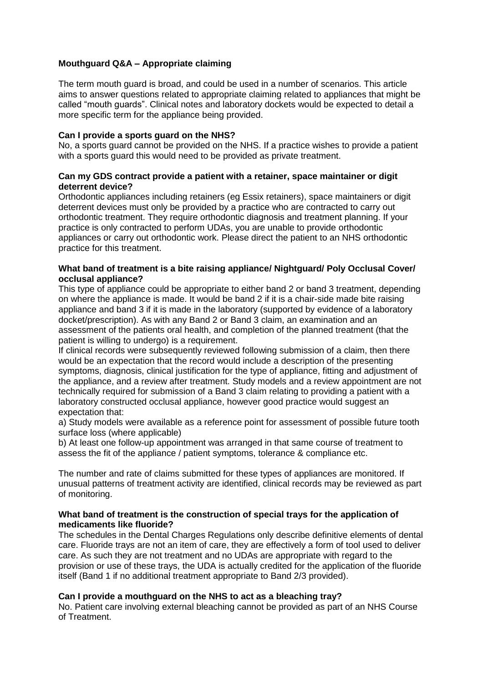# **Mouthguard Q&A – Appropriate claiming**

The term mouth guard is broad, and could be used in a number of scenarios. This article aims to answer questions related to appropriate claiming related to appliances that might be called "mouth guards". Clinical notes and laboratory dockets would be expected to detail a more specific term for the appliance being provided.

### **Can I provide a sports guard on the NHS?**

No, a sports guard cannot be provided on the NHS. If a practice wishes to provide a patient with a sports guard this would need to be provided as private treatment.

## **Can my GDS contract provide a patient with a retainer, space maintainer or digit deterrent device?**

Orthodontic appliances including retainers (eg Essix retainers), space maintainers or digit deterrent devices must only be provided by a practice who are contracted to carry out orthodontic treatment. They require orthodontic diagnosis and treatment planning. If your practice is only contracted to perform UDAs, you are unable to provide orthodontic appliances or carry out orthodontic work. Please direct the patient to an NHS orthodontic practice for this treatment.

### **What band of treatment is a bite raising appliance/ Nightguard/ Poly Occlusal Cover/ occlusal appliance?**

This type of appliance could be appropriate to either band 2 or band 3 treatment, depending on where the appliance is made. It would be band 2 if it is a chair-side made bite raising appliance and band 3 if it is made in the laboratory (supported by evidence of a laboratory docket/prescription). As with any Band 2 or Band 3 claim, an examination and an assessment of the patients oral health, and completion of the planned treatment (that the patient is willing to undergo) is a requirement.

If clinical records were subsequently reviewed following submission of a claim, then there would be an expectation that the record would include a description of the presenting symptoms, diagnosis, clinical justification for the type of appliance, fitting and adjustment of the appliance, and a review after treatment. Study models and a review appointment are not technically required for submission of a Band 3 claim relating to providing a patient with a laboratory constructed occlusal appliance, however good practice would suggest an expectation that:

a) Study models were available as a reference point for assessment of possible future tooth surface loss (where applicable)

b) At least one follow-up appointment was arranged in that same course of treatment to assess the fit of the appliance / patient symptoms, tolerance & compliance etc.

The number and rate of claims submitted for these types of appliances are monitored. If unusual patterns of treatment activity are identified, clinical records may be reviewed as part of monitoring.

### **What band of treatment is the construction of special trays for the application of medicaments like fluoride?**

The schedules in the Dental Charges Regulations only describe definitive elements of dental care. Fluoride trays are not an item of care, they are effectively a form of tool used to deliver care. As such they are not treatment and no UDAs are appropriate with regard to the provision or use of these trays, the UDA is actually credited for the application of the fluoride itself (Band 1 if no additional treatment appropriate to Band 2/3 provided).

### **Can I provide a mouthguard on the NHS to act as a bleaching tray?**

No. Patient care involving external bleaching cannot be provided as part of an NHS Course of Treatment.